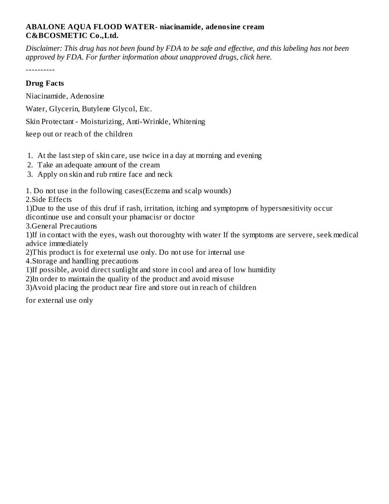## **ABALONE AQUA FLOOD WATER- niacinamide, adenosine cream C&BCOSMETIC Co.,Ltd.**

Disclaimer: This drug has not been found by FDA to be safe and effective, and this labeling has not been *approved by FDA. For further information about unapproved drugs, click here.*

----------

## **Drug Facts**

Niacinamide, Adenosine

Water, Glycerin, Butylene Glycol, Etc.

Skin Protectant - Moisturizing, Anti-Wrinkle, Whitening

keep out or reach of the children

- 1. At the last step of skin care, use twice in a day at morning and evening
- 2. Take an adequate amount of the cream
- 3. Apply on skin and rub rntire face and neck

1. Do not use in the following cases(Eczema and scalp wounds)

2.Side Effects

1)Due to the use of this druf if rash, irritation, itching and symptopms of hypersnesitivity occur dicontinue use and consult your phamacisr or doctor

3.General Precautions

1)If in contact with the eyes, wash out thoroughty with water If the symptoms are servere, seek medical advice immediately

2)This product is for exeternal use only. Do not use for internal use

4.Storage and handling precautions

1)If possible, avoid direct sunlight and store in cool and area of low humidity

2)In order to maintain the quality of the product and avoid misuse

3)Avoid placing the product near fire and store out in reach of children

for external use only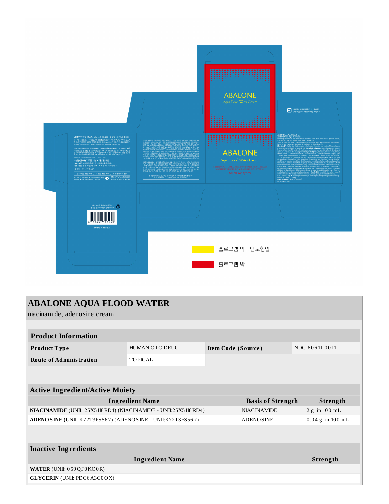

| <b>ABALONE AQUA FLOOD WATER</b><br>niacinamide, adenosine cream  |                |                    |                          |  |                    |  |  |  |
|------------------------------------------------------------------|----------------|--------------------|--------------------------|--|--------------------|--|--|--|
|                                                                  |                |                    |                          |  |                    |  |  |  |
| <b>Product Information</b>                                       |                |                    |                          |  |                    |  |  |  |
| <b>Product Type</b>                                              | HUMAN OTC DRUG | Item Code (Source) |                          |  | NDC:60611-0011     |  |  |  |
| <b>Route of Administration</b>                                   | <b>TOPICAL</b> |                    |                          |  |                    |  |  |  |
|                                                                  |                |                    |                          |  |                    |  |  |  |
|                                                                  |                |                    |                          |  |                    |  |  |  |
| <b>Active Ingredient/Active Moiety</b>                           |                |                    |                          |  |                    |  |  |  |
| <b>Ingredient Name</b>                                           |                |                    | <b>Basis of Strength</b> |  | Strength           |  |  |  |
| NIACINAMIDE (UNII: 25X51I8 RD4) (NIACINAMIDE - UNII:25X51I8 RD4) |                |                    | <b>NIACINAMIDE</b>       |  | 2 g in 100 mL      |  |  |  |
| ADENO SINE (UNII: K72T3FS567) (ADENOSINE - UNII:K72T3FS567)      |                |                    | <b>ADENOSINE</b>         |  | $0.04 g$ in 100 mL |  |  |  |
|                                                                  |                |                    |                          |  |                    |  |  |  |
| <b>Inactive Ingredients</b>                                      |                |                    |                          |  |                    |  |  |  |
| <b>Ingredient Name</b>                                           |                |                    |                          |  | Strength           |  |  |  |
| WATER (UNII: 059 QF0 KO0 R)                                      |                |                    |                          |  |                    |  |  |  |
| <b>GLYCERIN</b> (UNII: PDC6A3C0OX)                               |                |                    |                          |  |                    |  |  |  |
|                                                                  |                |                    |                          |  |                    |  |  |  |